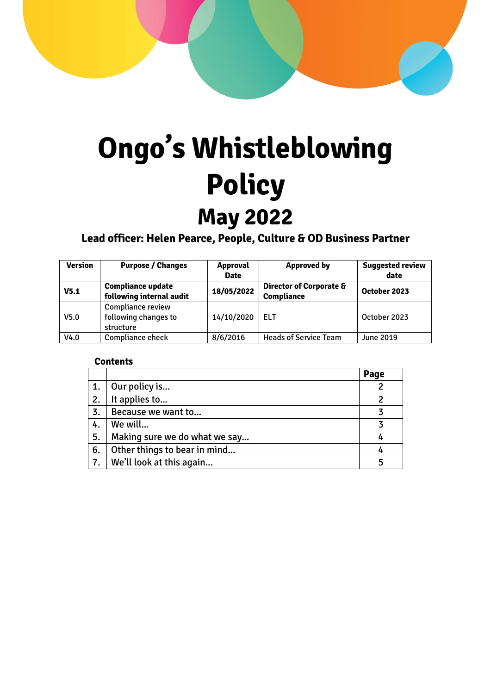# **Ongo's Whistleblowing Policy May 2022**

**Lead officer: Helen Pearce, People, Culture & OD Business Partner**

| <b>Version</b>   | <b>Purpose / Changes</b>                               | <b>Approval</b><br><b>Date</b> | <b>Approved by</b>                                      | <b>Suggested review</b><br>date |
|------------------|--------------------------------------------------------|--------------------------------|---------------------------------------------------------|---------------------------------|
| V <sub>5.1</sub> | <b>Compliance update</b><br>following internal audit   | 18/05/2022                     | <b>Director of Corporate &amp;</b><br><b>Compliance</b> | October 2023                    |
| V <sub>5.0</sub> | Compliance review<br>following changes to<br>structure | 14/10/2020                     | <b>ELT</b>                                              | October 2023                    |
| V4.0             | Compliance check                                       | 8/6/2016                       | <b>Heads of Service Team</b>                            | <b>June 2019</b>                |

#### **Contents**

|    |                               | Page |
|----|-------------------------------|------|
| 1. | Our policy is                 |      |
| 2. | It applies to                 |      |
| 3. | Because we want to            |      |
| 4. | We will                       |      |
| 5. | Making sure we do what we say |      |
| 6. | Other things to bear in mind  |      |
| 7. | We'll look at this again      |      |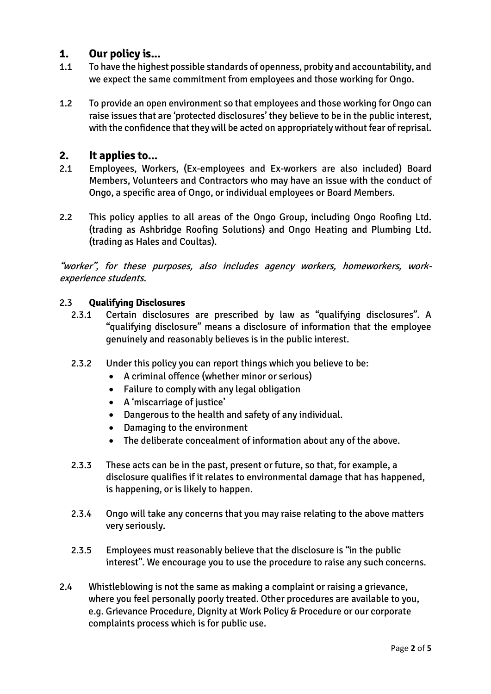## **1. Our policy is...**

- 1.1 To have the highest possible standards of openness, probity and accountability, and we expect the same commitment from employees and those working for Ongo.
- 1.2 To provide an open environment so that employees and those working for Ongo can raise issues that are 'protected disclosures' they believe to be in the public interest, with the confidence that they will be acted on appropriately without fear of reprisal.

## **2. It applies to...**

- 2.1 Employees, Workers, (Ex-employees and Ex-workers are also included) Board Members, Volunteers and Contractors who may have an issue with the conduct of Ongo, a specific area of Ongo, or individual employees or Board Members.
- 2.2 This policy applies to all areas of the Ongo Group, including Ongo Roofing Ltd. (trading as Ashbridge Roofing Solutions) and Ongo Heating and Plumbing Ltd. (trading as Hales and Coultas).

"worker", for these purposes, also includes agency workers, homeworkers, workexperience students.

#### 2.3 **Qualifying Disclosures**

- 2.3.1 Certain disclosures are prescribed by law as "qualifying disclosures". A "qualifying disclosure" means a disclosure of information that the employee genuinely and reasonably believes is in the public interest.
- 2.3.2 Under this policy you can report things which you believe to be:
	- A criminal offence (whether minor or serious)
	- Failure to comply with any legal obligation
	- A 'miscarriage of justice'
	- Dangerous to the health and safety of any individual.
	- Damaging to the environment
	- The deliberate concealment of information about any of the above.
- 2.3.3 These acts can be in the past, present or future, so that, for example, a disclosure qualifies if it relates to environmental damage that has happened, is happening, or is likely to happen.
- 2.3.4 Ongo will take any concerns that you may raise relating to the above matters very seriously.
- 2.3.5 Employees must reasonably believe that the disclosure is "in the public interest". We encourage you to use the procedure to raise any such concerns.
- 2.4 Whistleblowing is not the same as making a complaint or raising a grievance, where you feel personally poorly treated. Other procedures are available to you, e.g. Grievance Procedure, Dignity at Work Policy & Procedure or our corporate complaints process which is for public use.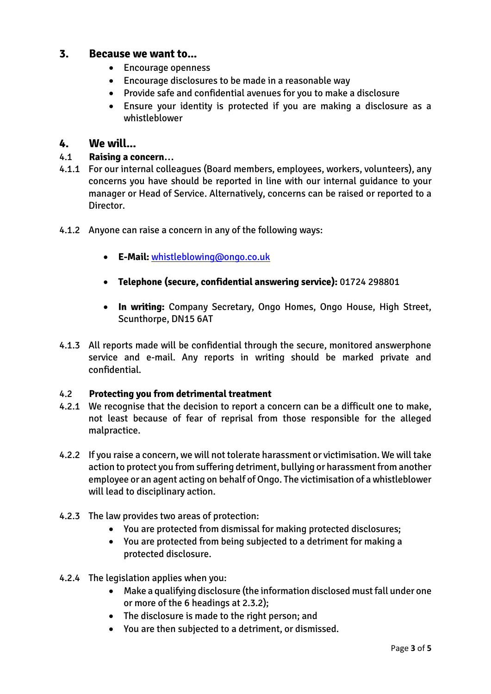## **3. Because we want to...**

- Encourage openness
- Encourage disclosures to be made in a reasonable way
- Provide safe and confidential avenues for you to make a disclosure
- Ensure your identity is protected if you are making a disclosure as a whistleblower

## **4. We will...**

### 4.1 **Raising a concern…**

- 4.1.1 For our internal colleagues (Board members, employees, workers, volunteers), any concerns you have should be reported in line with our internal guidance to your manager or Head of Service. Alternatively, concerns can be raised or reported to a Director.
- 4.1.2 Anyone can raise a concern in any of the following ways:
	- **E-Mail:** [whistleblowing@ongo.co.uk](mailto:whistleblowing@ongo.co.uk)
	- **Telephone (secure, confidential answering service):** 01724 298801
	- **In writing:** Company Secretary, Ongo Homes, Ongo House, High Street, Scunthorpe, DN15 6AT
- 4.1.3 All reports made will be confidential through the secure, monitored answerphone service and e-mail. Any reports in writing should be marked private and confidential.

#### 4.2 **Protecting you from detrimental treatment**

- 4.2.1 We recognise that the decision to report a concern can be a difficult one to make, not least because of fear of reprisal from those responsible for the alleged malpractice.
- 4.2.2 If you raise a concern, we will not tolerate harassment or victimisation. We will take action to protect you from suffering detriment, bullying or harassment from another employee or an agent acting on behalf of Ongo. The victimisation of a whistleblower will lead to disciplinary action.
- 4.2.3 The law provides two areas of protection:
	- You are protected from dismissal for making protected disclosures;
	- You are protected from being subjected to a detriment for making a protected disclosure.
- 4.2.4 The legislation applies when you:
	- Make a qualifying disclosure (the information disclosed must fall under one or more of the 6 headings at 2.3.2);
	- The disclosure is made to the right person; and
	- You are then subjected to a detriment, or dismissed.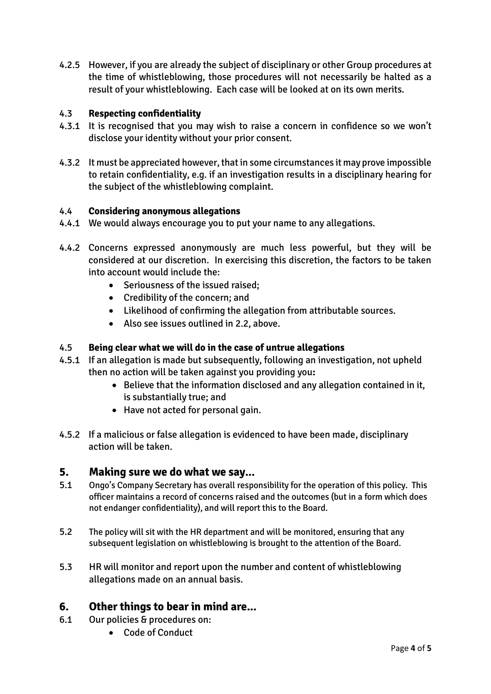4.2.5 However, if you are already the subject of disciplinary or other Group procedures at the time of whistleblowing, those procedures will not necessarily be halted as a result of your whistleblowing. Each case will be looked at on its own merits.

### 4.3 **Respecting confidentiality**

- 4.3.1 It is recognised that you may wish to raise a concern in confidence so we won't disclose your identity without your prior consent.
- 4.3.2 It must be appreciated however, that in some circumstances it may prove impossible to retain confidentiality, e.g. if an investigation results in a disciplinary hearing for the subject of the whistleblowing complaint.

#### 4.4 **Considering anonymous allegations**

- 4.4.1 We would always encourage you to put your name to any allegations.
- 4.4.2 Concerns expressed anonymously are much less powerful, but they will be considered at our discretion. In exercising this discretion, the factors to be taken into account would include the:
	- Seriousness of the issued raised;
	- Credibility of the concern; and
	- Likelihood of confirming the allegation from attributable sources.
	- Also see issues outlined in 2.2, above.

#### 4.5 **Being clear what we will do in the case of untrue allegations**

- 4.5.1 If an allegation is made but subsequently, following an investigation, not upheld then no action will be taken against you providing you**:**
	- Believe that the information disclosed and any allegation contained in it, is substantially true; and
	- Have not acted for personal gain.
- 4.5.2 If a malicious or false allegation is evidenced to have been made, disciplinary action will be taken.

#### **5. Making sure we do what we say...**

- 5.1 Ongo's Company Secretary has overall responsibility for the operation of this policy. This officer maintains a record of concerns raised and the outcomes (but in a form which does not endanger confidentiality), and will report this to the Board.
- 5.2 The policy will sit with the HR department and will be monitored, ensuring that any subsequent legislation on whistleblowing is brought to the attention of the Board.
- 5.3 HR will monitor and report upon the number and content of whistleblowing allegations made on an annual basis.

## **6. Other things to bear in mind are...**

- 6.1 Our policies & procedures on:
	- Code of Conduct